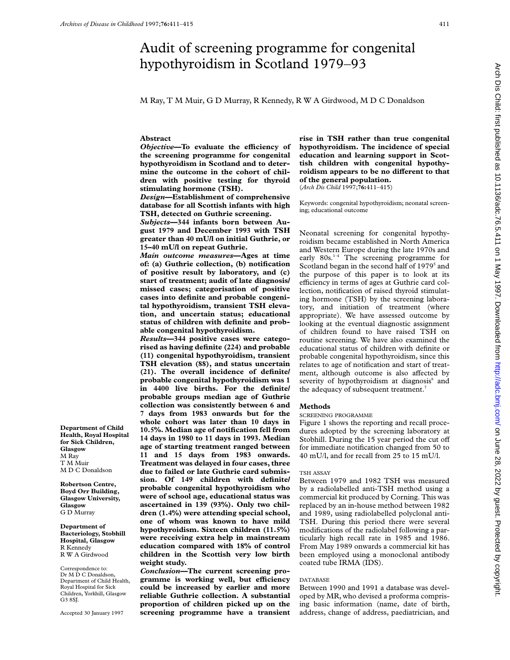# Audit of screening programme for congenital hypothyroidism in Scotland 1979–93

M Ray, T M Muir, G D Murray, R Kennedy, R W A Girdwood, M D C Donaldson

## **Abstract**

**Objective-To evaluate the efficiency of the screening programme for congenital hypothyroidism in Scotland and to determine the outcome in the cohort of children with positive testing for thyroid stimulating hormone (TSH).**

*Design***—Establishment of comprehensive database for all Scottish infants with high TSH, detected on Guthrie screening.**

*Subjects***—344 infants born between August 1979 and December 1993 with TSH greater than 40 mU/l on initial Guthrie, or 15–40 mU/l on repeat Guthrie.**

*Main outcome measures***—Ages at time of: (a) Guthrie collection, (b) notification of positive result by laboratory, and (c) start of treatment; audit of late diagnosis/ missed cases; categorisation of positive cases into definite and probable congenital hypothyroidism, transient TSH elevation, and uncertain status; educational status of children with definite and probable congenital hypothyroidism.**

*Results***—344 positive cases were categorised as having definite (224) and probable (11) congenital hypothyroidism, transient TSH elevation (88), and status uncertain (21). The overall incidence of definite/ probable congenital hypothyroidism was 1 in 4400 live births. For the definite/ probable groups median age of Guthrie collection was consistently between 6 and 7 days from 1983 onwards but for the whole cohort was later than 10 days in 10.5%. Median age of notification fell from 14 days in 1980 to 11 days in 1993. Median age of starting treatment ranged between 11 and 15 days from 1983 onwards. Treatment was delayed in four cases, three due to failed or late Guthrie card submission. Of 149 children with definite/ probable congenital hypothyroidism who were of school age, educational status was ascertained in 139 (93%). Only two children (1.4%) were attending special school, one of whom was known to have mild hypothyroidism. Sixteen children (11.5%) were receiving extra help in mainstream education compared with 18% of control children in the Scottish very low birth weight study.**

*Conclusion***—The current screening pro**gramme is working well, but efficiency **could be increased by earlier and more reliable Guthrie collection. A substantial proportion of children picked up on the screening programme have a transient**

**rise in TSH rather than true congenital hypothyroidism. The incidence of special education and learning support in Scottish children with congenital hypothy**roidism appears to be no different to that **of the general population.** (*Arch Dis Child* 1997;**76:**411–415)

Keywords: congenital hypothyroidism; neonatal screening; educational outcome

Neonatal screening for congenital hypothyroidism became established in North America and Western Europe during the late 1970s and early 80s.<sup>1-4</sup> The screening programme for Scotland began in the second half of 1979<sup>5</sup> and the purpose of this paper is to look at its efficiency in terms of ages at Guthrie card collection, notification of raised thyroid stimulating hormone (TSH) by the screening laboratory, and initiation of treatment (where appropriate). We have assessed outcome by looking at the eventual diagnostic assignment of children found to have raised TSH on routine screening. We have also examined the educational status of children with definite or probable congenital hypothyroidism, since this relates to age of notification and start of treatment, although outcome is also affected by severity of hypothyroidism at diagnosis<sup>6</sup> and the adequacy of subsequent treatment.<sup>7</sup>

## **Methods**

SCREENING PROGRAMME

Figure 1 shows the reporting and recall procedures adopted by the screening laboratory at Stobhill. During the 15 year period the cut off for immediate notification changed from 50 to 40 mU/l, and for recall from 25 to 15 mU/l.

#### TSH ASSAY

Between 1979 and 1982 TSH was measured by a radiolabelled anti-TSH method using a commercial kit produced by Corning. This was replaced by an in-house method between 1982 and 1989, using radiolabelled polyclonal anti-TSH. During this period there were several modifications of the radiolabel following a particularly high recall rate in 1985 and 1986. From May 1989 onwards a commercial kit has been employed using a monoclonal antibody coated tube IRMA (IDS).

#### DATABASE

Between 1990 and 1991 a database was developed by MR, who devised a proforma comprising basic information (name, date of birth, address, change of address, paediatrician, and

**Department of Child Health, Royal Hospital for Sick Children, Glasgow** M Ray T M Muir M D C Donaldson

**Robertson Centre, Boyd Orr Building, Glasgow University, Glasgow** G D Murray

**Department of Bacteriology, Stobhill Hospital, Glasgow** R Kennedy R W A Girdwood

Correspondence to: Dr M D C Donaldson, Department of Child Health, Royal Hospital for Sick Children, Yorkhill, Glasgow G3 8SJ.

Accepted 30 January 1997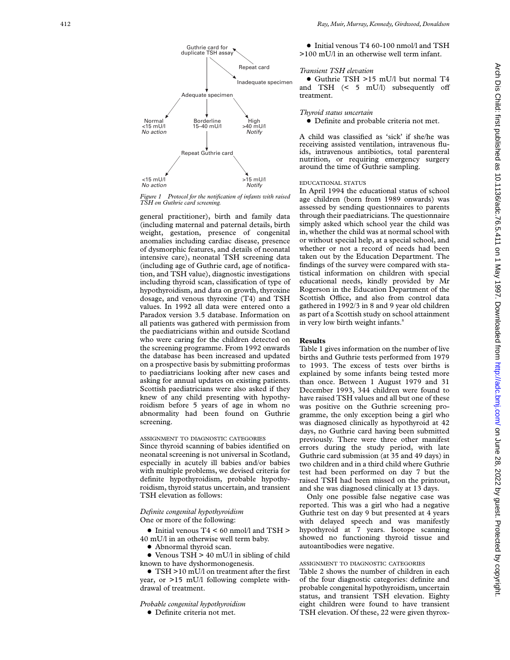

*Figure 1 Protocol for the notification of infants with raised TSH on Guthrie card screening.*

general practitioner), birth and family data (including maternal and paternal details, birth weight, gestation, presence of congenital anomalies including cardiac disease, presence of dysmorphic features, and details of neonatal intensive care), neonatal TSH screening data (including age of Guthrie card, age of notification, and TSH value), diagnostic investigations including thyroid scan, classification of type of hypothyroidism, and data on growth, thyroxine dosage, and venous thyroxine (T4) and TSH values. In 1992 all data were entered onto a Paradox version 3.5 database. Information on all patients was gathered with permission from the paediatricians within and outside Scotland who were caring for the children detected on the screening programme. From 1992 onwards the database has been increased and updated on a prospective basis by submitting proformas to paediatricians looking after new cases and asking for annual updates on existing patients. Scottish paediatricians were also asked if they knew of any child presenting with hypothyroidism before 5 years of age in whom no abnormality had been found on Guthrie screening.

## ASSIGNMENT TO DIAGNOSTIC CATEGORIES

Since thyroid scanning of babies identified on neonatal screening is not universal in Scotland, especially in acutely ill babies and/or babies with multiple problems, we devised criteria for definite hypothyroidism, probable hypothyroidism, thyroid status uncertain, and transient TSH elevation as follows:

## *Definite congenital hypothyroidism* One or more of the following:

- $\bullet$  Initial venous T4 < 60 nmol/l and TSH > 40 mU/l in an otherwise well term baby.
	- Abnormal thyroid scan.
- $\bullet$  Venous TSH > 40 mU/l in sibling of child known to have dyshormonogenesis.

• TSH >10 mU/l on treatment after the first year, or >15 mU/l following complete withdrawal of treatment.

## *Probable congenital hypothyroidism*

 $\bullet$  Definite criteria not met.

• Initial venous T4 60-100 nmol/l and TSH >100 mU/l in an otherwise well term infant.

# *Transient TSH elevation*

x Guthrie TSH >15 mU/l but normal T4 and TSH  $\left($  < 5 mU/l) subsequently off treatment.

# *Thyroid status uncertain*

• Definite and probable criteria not met.

A child was classified as 'sick' if she/he was receiving assisted ventilation, intravenous fluids, intravenous antibiotics, total parenteral nutrition, or requiring emergency surgery around the time of Guthrie sampling.

# EDUCATIONAL STATUS

In April 1994 the educational status of school age children (born from 1989 onwards) was assessed by sending questionnaires to parents through their paediatricians. The questionnaire simply asked which school year the child was in, whether the child was at normal school with or without special help, at a special school, and whether or not a record of needs had been taken out by the Education Department. The findings of the survey were compared with statistical information on children with special educational needs, kindly provided by Mr Rogerson in the Education Department of the Scottish Office, and also from control data gathered in 1992/3 in 8 and 9 year old children as part of a Scottish study on school attainment in very low birth weight infants. 8

# **Results**

Table 1 gives information on the number of live births and Guthrie tests performed from 1979 to 1993. The excess of tests over births is explained by some infants being tested more than once. Between 1 August 1979 and 31 December 1993, 344 children were found to have raised TSH values and all but one of these was positive on the Guthrie screening programme, the only exception being a girl who was diagnosed clinically as hypothyroid at 42 days, no Guthrie card having been submitted previously. There were three other manifest errors during the study period, with late Guthrie card submission (at 35 and 49 days) in two children and in a third child where Guthrie test had been performed on day 7 but the raised TSH had been missed on the printout, and she was diagnosed clinically at 13 days.

Only one possible false negative case was reported. This was a girl who had a negative Guthrie test on day 9 but presented at 4 years with delayed speech and was manifestly hypothyroid at 7 years. Isotope scanning showed no functioning thyroid tissue and autoantibodies were negative.

# ASSIGNMENT TO DIAGNOSTIC CATEGORIES

Table 2 shows the number of children in each of the four diagnostic categories: definite and probable congenital hypothyroidism, uncertain status, and transient TSH elevation. Eighty eight children were found to have transient TSH elevation. Of these, 22 were given thyrox-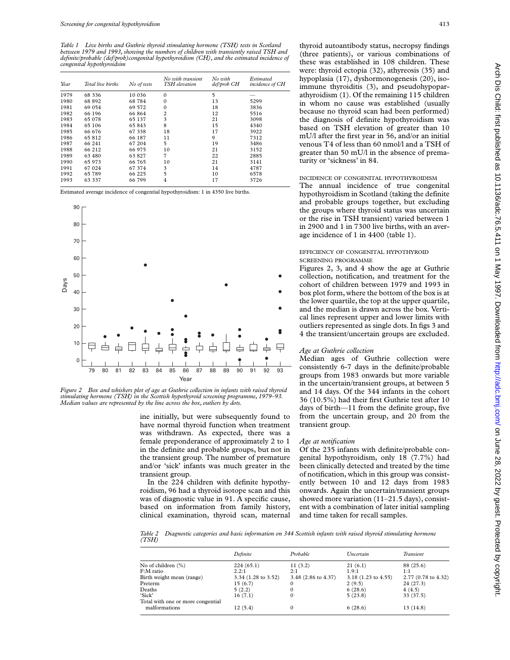*Table 1 Live births and Guthrie thyroid stimulating hormone (TSH) tests in Scotland between 1979 and 1993, showing the numbers of children with transiently raised TSH and definite/probable (def/prob)congenital hypothyroidism (CH), and the estimated incidence of congenital hypothyroidsim*

| Year | Total live births | No of tests | No with transient<br>TSH elevation | No with<br>def/prob CH | <b>Estimated</b><br>incidence of CH |
|------|-------------------|-------------|------------------------------------|------------------------|-------------------------------------|
| 1979 | 68 3 3 6          | 10 0 36     | $\mathbf{0}$                       | 5                      |                                     |
| 1980 | 68 892            | 68784       | $\mathbf{0}$                       | 13                     | 5299                                |
| 1981 | 69 054            | 69 572      | $\mathbf{0}$                       | 18                     | 3836                                |
| 1982 | 66 196            | 66 864      | $\overline{2}$                     | 12                     | 5516                                |
| 1983 | 65 078            | 65 137      | 3                                  | 21                     | 3098                                |
| 1984 | 65 106            | 65843       | 8                                  | 15                     | 4340                                |
| 1985 | 66 676            | 67 338      | 18                                 | 17                     | 3922                                |
| 1986 | 65812             | 66 187      | 11                                 | 9                      | 7312                                |
| 1987 | 66 241            | 67 204      | 5                                  | 19                     | 3486                                |
| 1988 | 66 212            | 66 975      | 10                                 | 21                     | 3152                                |
| 1989 | 63 480            | 63827       | 7                                  | 22                     | 2885                                |
| 1990 | 65 973            | 66 765      | 10                                 | 21                     | 3141                                |
| 1991 | 67 024            | 67 374      | 3                                  | 14                     | 4787                                |
| 1992 | 65 789            | 66 225      | 5                                  | 10                     | 6578                                |
| 1993 | 63 337            | 66 799      | 4                                  | 17                     | 3726                                |

Estimated average incidence of congential hypothyroidism: 1 in 4350 live births.



*Figure 2 Box and whiskers plot of age at Guthrie collection in infants with raised thyroid stimulating hormone (TSH) in the Scottish hypothyroid screening programme, 1979–93. Median values are represented by the line across the box, outliers by dots.*

ine initially, but were subsequently found to have normal thyroid function when treatment was withdrawn. As expected, there was a female preponderance of approximately 2 to 1 in the definite and probable groups, but not in the transient group. The number of premature and/or 'sick' infants was much greater in the transient group.

In the 224 children with definite hypothyroidism, 96 had a thyroid isotope scan and this was of diagnostic value in 91. A specific cause, based on information from family history, clinical examination, thyroid scan, maternal thyroid autoantibody status, necropsy findings (three patients), or various combinations of these was established in 108 children. These were: thyroid ectopia (32), athyreosis (35) and hypoplasia (17), dyshormonogenesis (20), isoimmune thyroiditis (3), and pseudohypoparathyroidism (1). Of the remaining 115 children in whom no cause was established (usually because no thyroid scan had been performed) the diagnosis of definite hypothyroidism was based on TSH elevation of greater than 10 mU/l after the first year in 56, and/or an initial venous T4 of less than 60 nmol/l and a TSH of greater than 50 mU/l in the absence of prematurity or 'sickness' in 84.

# INCIDENCE OF CONGENITAL HYPOTHYROIDISM

The annual incidence of true congenital hypothyroidism in Scotland (taking the definite and probable groups together, but excluding the groups where thyroid status was uncertain or the rise in TSH transient) varied between 1 in 2900 and 1 in 7300 live births, with an average incidence of 1 in 4400 (table 1).

## EFFICIENCY OF CONGENITAL HYPOTHYROID SCREENING PROGRAMME

- Figures 2, 3, and 4 show the age at Guthrie collection, notification, and treatment for the cohort of children between 1979 and 1993 in
- box plot form, where the bottom of the box is at the lower quartile, the top at the upper quartile,
- and the median is drawn across the box. Vertical lines represent upper and lower limits with outliers represented as single dots. In figs 3 and 4 the transient/uncertain groups are excluded.

#### *Age at Guthrie collection*

Median ages of Guthrie collection were consistently 6-7 days in the definite/probable groups from 1983 onwards but more variable in the uncertain/transient groups, at between 5 and 14 days. Of the 344 infants in the cohort 36 (10.5%) had their first Guthrie test after 10 days of birth—11 from the definite group, five from the uncertain group, and 20 from the transient group.

#### *Age at notification*

Of the 235 infants with definite/probable congenital hypothyroidism, only 18 (7.7%) had been clinically detected and treated by the time of notification, which in this group was consistently between 10 and 12 days from 1983 onwards. Again the uncertain/transient groups showed more variation (11–21.5 days), consistent with a combination of later initial sampling and time taken for recall samples.

*Table 2 Diagnostic categories and basic information on 344 Scottish infants with raised thyroid stimulating hormone (TSH)*

|                                   | Definite            | Probable            | <i><u><b>Incertain</b></u></i> | Transient           |
|-----------------------------------|---------------------|---------------------|--------------------------------|---------------------|
| No of children (%)                | 224(65.1)           | 11(3.2)             | 21(6.1)                        | 88 (25.6)           |
| F:M ratio                         | 2.2:1               | 2:1                 | 1.9:1                          | 1:1                 |
| Birth weight mean (range)         | 3.34 (1.28 to 3.52) | 3.48 (2.86 to 4.37) | 3.18 (1.23 to 4.55)            | 2.77 (0.78 to 4.32) |
| Preterm                           | 15(6.7)             |                     | 2(9.5)                         | 24 (27.3)           |
| Deaths                            | 5(2.2)              |                     | 6(28.6)                        | 4(4.5)              |
| 'Sick'                            | 16(7.1)             |                     | 5(23.8)                        | 33 (37.5)           |
| Total with one or more congential |                     |                     |                                |                     |
| malformations                     | 12(5.4)             | 0                   | 6(28.6)                        | 13(14.8)            |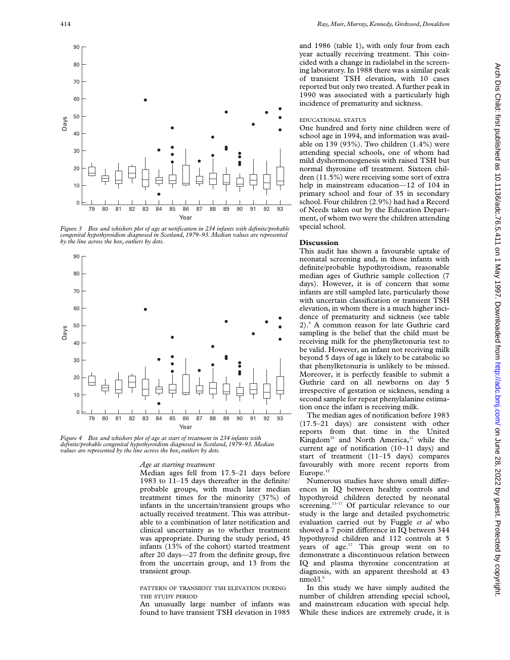

*Figure 3 Box and whiskers plot of age at notification in 234 infants with definite/probable congenital hypothyroidism diagnosed in Scotland, 1979–93. Median values are represented by the line across the box, outliers by dots.*



*Figure 4 Box and whiskers plot of age at start of treatment in 234 infants with definite/probable congenital hypothyroidism diagnosed in Scotland, 1979–93. Median values are represented by the line across the box, outliers by dots.*

#### *Age at starting treatment*

Median ages fell from 17.5–21 days before 1983 to 11–15 days thereafter in the definite/ probable groups, with much later median treatment times for the minority (37%) of infants in the uncertain/transient groups who actually received treatment. This was attributable to a combination of later notification and clinical uncertainty as to whether treatment was appropriate. During the study period, 45 infants (13% of the cohort) started treatment after 20 days—27 from the definite group, five from the uncertain group, and 13 from the transient group.

## PATTERN OF TRANSIENT TSH ELEVATION DURING THE STUDY PERIOD

An unusually large number of infants was found to have transient TSH elevation in 1985 and 1986 (table 1), with only four from each year actually receiving treatment. This coincided with a change in radiolabel in the screening laboratory. In 1988 there was a similar peak of transient TSH elevation, with 10 cases reported but only two treated. A further peak in 1990 was associated with a particularly high incidence of prematurity and sickness.

### EDUCATIONAL STATUS

One hundred and forty nine children were of school age in 1994, and information was available on 139 (93%). Two children (1.4%) were attending special schools, one of whom had mild dyshormonogenesis with raised TSH but normal thyroxine off treatment. Sixteen children (11.5%) were receiving some sort of extra help in mainstream education—12 of 104 in primary school and four of 35 in secondary school. Four children (2.9%) had had a Record of Needs taken out by the Education Department, of whom two were the children attending special school.

### **Discussion**

This audit has shown a favourable uptake of neonatal screening and, in those infants with definite/probable hypothyroidism, reasonable median ages of Guthrie sample collection (7 days). However, it is of concern that some infants are still sampled late, particularly those with uncertain classification or transient TSH elevation, in whom there is a much higher incidence of prematurity and sickness (see table 2).9 A common reason for late Guthrie card sampling is the belief that the child must be receiving milk for the phenylketonuria test to be valid. However, an infant not receiving milk beyond 5 days of age is likely to be catabolic so that phenylketonuria is unlikely to be missed. Moreover, it is perfectly feasible to submit a Guthrie card on all newborns on day 5 irrespective of gestation or sickness, sending a second sample for repeat phenylalanine estimation once the infant is receiving milk.

The median ages of notification before 1983 (17.5–21 days) are consistent with other reports from that time in the United Kingdom<sup>10</sup> and North America,<sup>11</sup> while the current age of notification (10–11 days) and start of treatment (11–15 days) compares favourably with more recent reports from Europe. $12$ 

Numerous studies have shown small differences in IQ between healthy controls and hypothyroid children detected by neonatal screening.<sup>13-17</sup> Of particular relevance to our study is the large and detailed psychometric evaluation carried out by Fuggle *et al* who showed a 7 point difference in IO between 344 hypothyroid children and 112 controls at 5 years of age.<sup>17</sup> This group went on to demonstrate a discontinuous relation between IQ and plasma thyroxine concentration at diagnosis, with an apparent threshold at 43 nmol/l.6

In this study we have simply audited the number of children attending special school, and mainstream education with special help. While these indices are extremely crude, it is